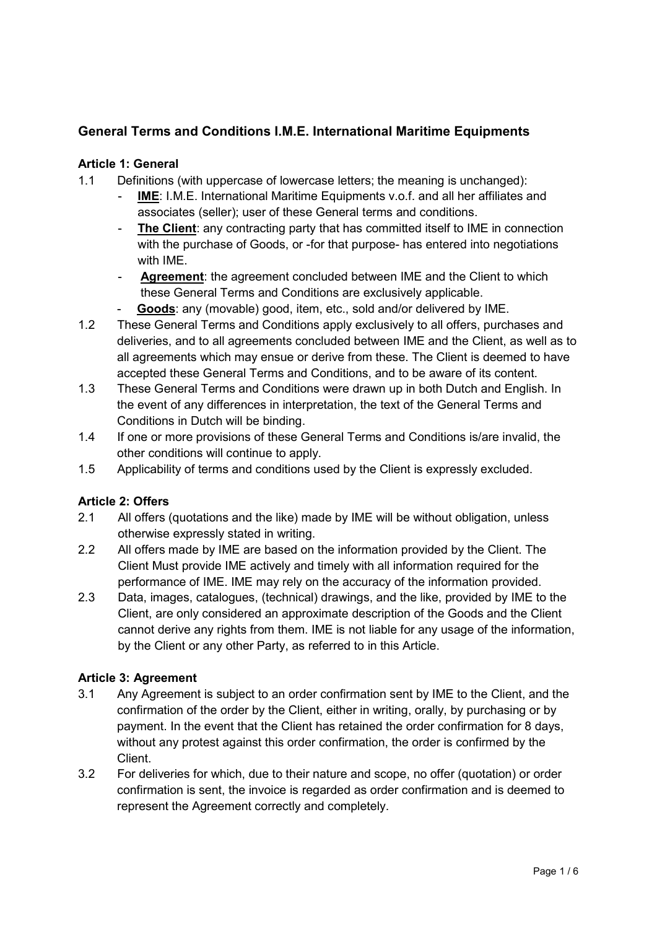# General Terms and Conditions I.M.E. International Maritime Equipments

### Article 1: General

- 1.1 Definitions (with uppercase of lowercase letters; the meaning is unchanged):
	- IME: I.M.E. International Maritime Equipments v.o.f. and all her affiliates and associates (seller); user of these General terms and conditions.
	- The Client: any contracting party that has committed itself to IME in connection with the purchase of Goods, or -for that purpose- has entered into negotiations with IME.
	- Agreement: the agreement concluded between IME and the Client to which these General Terms and Conditions are exclusively applicable.
		- Goods: any (movable) good, item, etc., sold and/or delivered by IME.
- 1.2 These General Terms and Conditions apply exclusively to all offers, purchases and deliveries, and to all agreements concluded between IME and the Client, as well as to all agreements which may ensue or derive from these. The Client is deemed to have accepted these General Terms and Conditions, and to be aware of its content.
- 1.3 These General Terms and Conditions were drawn up in both Dutch and English. In the event of any differences in interpretation, the text of the General Terms and Conditions in Dutch will be binding.
- 1.4 If one or more provisions of these General Terms and Conditions is/are invalid, the other conditions will continue to apply.
- 1.5 Applicability of terms and conditions used by the Client is expressly excluded.

# Article 2: Offers

- 2.1 All offers (quotations and the like) made by IME will be without obligation, unless otherwise expressly stated in writing.
- 2.2 All offers made by IME are based on the information provided by the Client. The Client Must provide IME actively and timely with all information required for the performance of IME. IME may rely on the accuracy of the information provided.
- 2.3 Data, images, catalogues, (technical) drawings, and the like, provided by IME to the Client, are only considered an approximate description of the Goods and the Client cannot derive any rights from them. IME is not liable for any usage of the information, by the Client or any other Party, as referred to in this Article.

# Article 3: Agreement

- 3.1 Any Agreement is subject to an order confirmation sent by IME to the Client, and the confirmation of the order by the Client, either in writing, orally, by purchasing or by payment. In the event that the Client has retained the order confirmation for 8 days, without any protest against this order confirmation, the order is confirmed by the Client.
- 3.2 For deliveries for which, due to their nature and scope, no offer (quotation) or order confirmation is sent, the invoice is regarded as order confirmation and is deemed to represent the Agreement correctly and completely.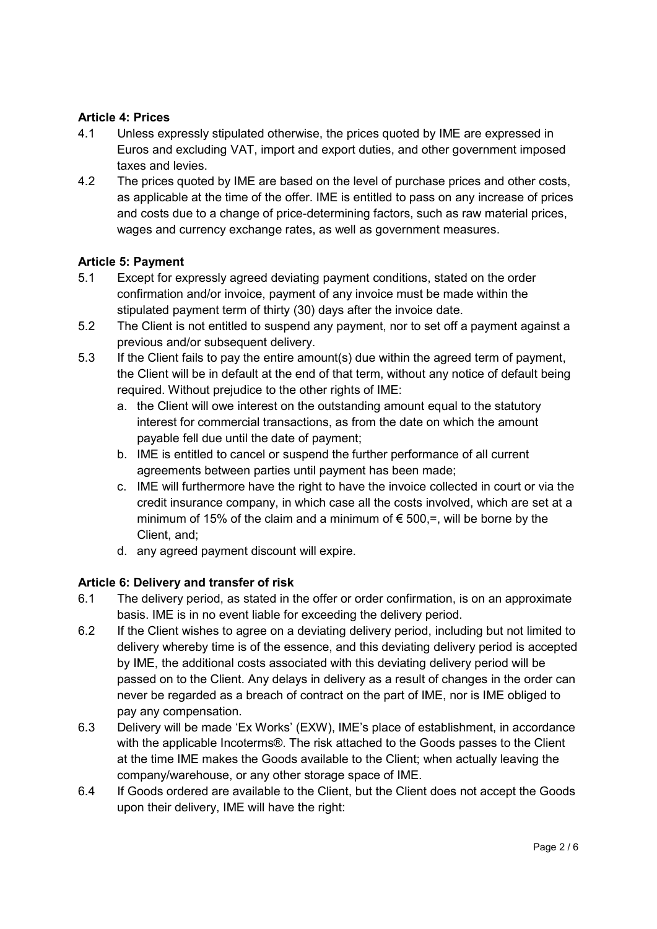### Article 4: Prices

- 4.1 Unless expressly stipulated otherwise, the prices quoted by IME are expressed in Euros and excluding VAT, import and export duties, and other government imposed taxes and levies.
- 4.2 The prices quoted by IME are based on the level of purchase prices and other costs, as applicable at the time of the offer. IME is entitled to pass on any increase of prices and costs due to a change of price-determining factors, such as raw material prices, wages and currency exchange rates, as well as government measures.

#### Article 5: Payment

- 5.1 Except for expressly agreed deviating payment conditions, stated on the order confirmation and/or invoice, payment of any invoice must be made within the stipulated payment term of thirty (30) days after the invoice date.
- 5.2 The Client is not entitled to suspend any payment, nor to set off a payment against a previous and/or subsequent delivery.
- 5.3 If the Client fails to pay the entire amount(s) due within the agreed term of payment, the Client will be in default at the end of that term, without any notice of default being required. Without prejudice to the other rights of IME:
	- a. the Client will owe interest on the outstanding amount equal to the statutory interest for commercial transactions, as from the date on which the amount payable fell due until the date of payment;
	- b. IME is entitled to cancel or suspend the further performance of all current agreements between parties until payment has been made;
	- c. IME will furthermore have the right to have the invoice collected in court or via the credit insurance company, in which case all the costs involved, which are set at a minimum of 15% of the claim and a minimum of  $\epsilon$  500,=, will be borne by the Client, and;
	- d. any agreed payment discount will expire.

# Article 6: Delivery and transfer of risk

- 6.1 The delivery period, as stated in the offer or order confirmation, is on an approximate basis. IME is in no event liable for exceeding the delivery period.
- 6.2 If the Client wishes to agree on a deviating delivery period, including but not limited to delivery whereby time is of the essence, and this deviating delivery period is accepted by IME, the additional costs associated with this deviating delivery period will be passed on to the Client. Any delays in delivery as a result of changes in the order can never be regarded as a breach of contract on the part of IME, nor is IME obliged to pay any compensation.
- 6.3 Delivery will be made 'Ex Works' (EXW), IME's place of establishment, in accordance with the applicable Incoterms®. The risk attached to the Goods passes to the Client at the time IME makes the Goods available to the Client; when actually leaving the company/warehouse, or any other storage space of IME.
- 6.4 If Goods ordered are available to the Client, but the Client does not accept the Goods upon their delivery, IME will have the right: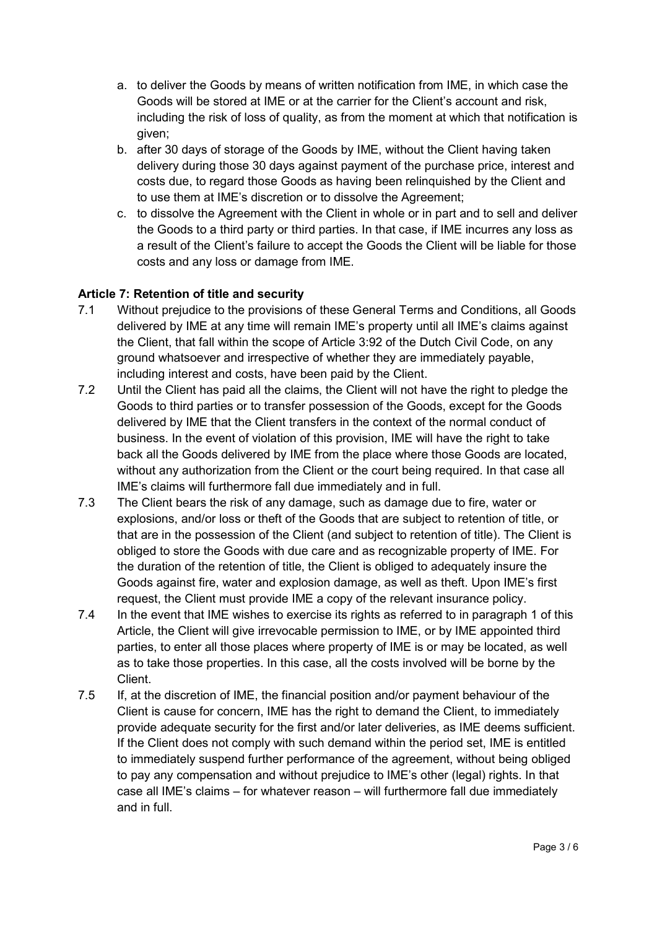- a. to deliver the Goods by means of written notification from IME, in which case the Goods will be stored at IME or at the carrier for the Client's account and risk, including the risk of loss of quality, as from the moment at which that notification is given;
- b. after 30 days of storage of the Goods by IME, without the Client having taken delivery during those 30 days against payment of the purchase price, interest and costs due, to regard those Goods as having been relinquished by the Client and to use them at IME's discretion or to dissolve the Agreement;
- c. to dissolve the Agreement with the Client in whole or in part and to sell and deliver the Goods to a third party or third parties. In that case, if IME incurres any loss as a result of the Client's failure to accept the Goods the Client will be liable for those costs and any loss or damage from IME.

# Article 7: Retention of title and security

- 7.1 Without prejudice to the provisions of these General Terms and Conditions, all Goods delivered by IME at any time will remain IME's property until all IME's claims against the Client, that fall within the scope of Article 3:92 of the Dutch Civil Code, on any ground whatsoever and irrespective of whether they are immediately payable, including interest and costs, have been paid by the Client.
- 7.2 Until the Client has paid all the claims, the Client will not have the right to pledge the Goods to third parties or to transfer possession of the Goods, except for the Goods delivered by IME that the Client transfers in the context of the normal conduct of business. In the event of violation of this provision, IME will have the right to take back all the Goods delivered by IME from the place where those Goods are located, without any authorization from the Client or the court being required. In that case all IME's claims will furthermore fall due immediately and in full.
- 7.3 The Client bears the risk of any damage, such as damage due to fire, water or explosions, and/or loss or theft of the Goods that are subject to retention of title, or that are in the possession of the Client (and subject to retention of title). The Client is obliged to store the Goods with due care and as recognizable property of IME. For the duration of the retention of title, the Client is obliged to adequately insure the Goods against fire, water and explosion damage, as well as theft. Upon IME's first request, the Client must provide IME a copy of the relevant insurance policy.
- 7.4 In the event that IME wishes to exercise its rights as referred to in paragraph 1 of this Article, the Client will give irrevocable permission to IME, or by IME appointed third parties, to enter all those places where property of IME is or may be located, as well as to take those properties. In this case, all the costs involved will be borne by the Client.
- 7.5 If, at the discretion of IME, the financial position and/or payment behaviour of the Client is cause for concern, IME has the right to demand the Client, to immediately provide adequate security for the first and/or later deliveries, as IME deems sufficient. If the Client does not comply with such demand within the period set, IME is entitled to immediately suspend further performance of the agreement, without being obliged to pay any compensation and without prejudice to IME's other (legal) rights. In that case all IME's claims – for whatever reason – will furthermore fall due immediately and in full.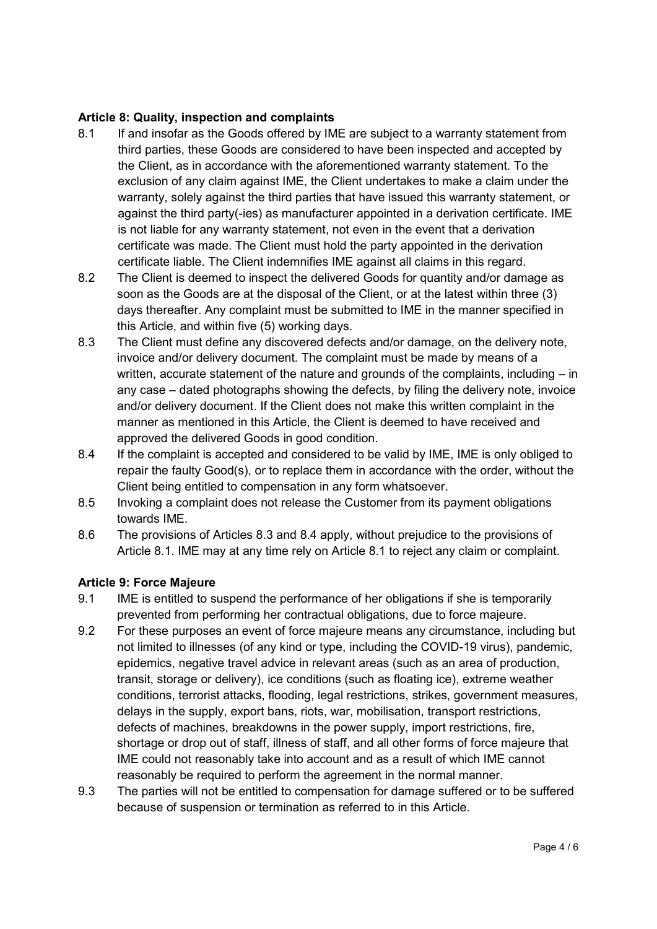### Article 8: Quality, inspection and complaints

- 8.1 If and insofar as the Goods offered by IME are subject to a warranty statement from third parties, these Goods are considered to have been inspected and accepted by the Client, as in accordance with the aforementioned warranty statement. To the exclusion of any claim against IME, the Client undertakes to make a claim under the warranty, solely against the third parties that have issued this warranty statement, or against the third party(-ies) as manufacturer appointed in a derivation certificate. IME is not liable for any warranty statement, not even in the event that a derivation certificate was made. The Client must hold the party appointed in the derivation certificate liable. The Client indemnifies IME against all claims in this regard.
- 8.2 The Client is deemed to inspect the delivered Goods for quantity and/or damage as soon as the Goods are at the disposal of the Client, or at the latest within three (3) days thereafter. Any complaint must be submitted to IME in the manner specified in this Article, and within five (5) working days.
- 8.3 The Client must define any discovered defects and/or damage, on the delivery note, invoice and/or delivery document. The complaint must be made by means of a written, accurate statement of the nature and grounds of the complaints, including – in any case – dated photographs showing the defects, by filing the delivery note, invoice and/or delivery document. If the Client does not make this written complaint in the manner as mentioned in this Article, the Client is deemed to have received and approved the delivered Goods in good condition.
- 8.4 If the complaint is accepted and considered to be valid by IME, IME is only obliged to repair the faulty Good(s), or to replace them in accordance with the order, without the Client being entitled to compensation in any form whatsoever.
- 8.5 Invoking a complaint does not release the Customer from its payment obligations towards IME.
- 8.6 The provisions of Articles 8.3 and 8.4 apply, without prejudice to the provisions of Article 8.1. IME may at any time rely on Article 8.1 to reject any claim or complaint.

#### Article 9: Force Majeure

- 9.1 IME is entitled to suspend the performance of her obligations if she is temporarily prevented from performing her contractual obligations, due to force majeure.
- 9.2 For these purposes an event of force majeure means any circumstance, including but not limited to illnesses (of any kind or type, including the COVID-19 virus), pandemic, epidemics, negative travel advice in relevant areas (such as an area of production, transit, storage or delivery), ice conditions (such as floating ice), extreme weather conditions, terrorist attacks, flooding, legal restrictions, strikes, government measures, delays in the supply, export bans, riots, war, mobilisation, transport restrictions, defects of machines, breakdowns in the power supply, import restrictions, fire, shortage or drop out of staff, illness of staff, and all other forms of force majeure that IME could not reasonably take into account and as a result of which IME cannot reasonably be required to perform the agreement in the normal manner.
- 9.3 The parties will not be entitled to compensation for damage suffered or to be suffered because of suspension or termination as referred to in this Article.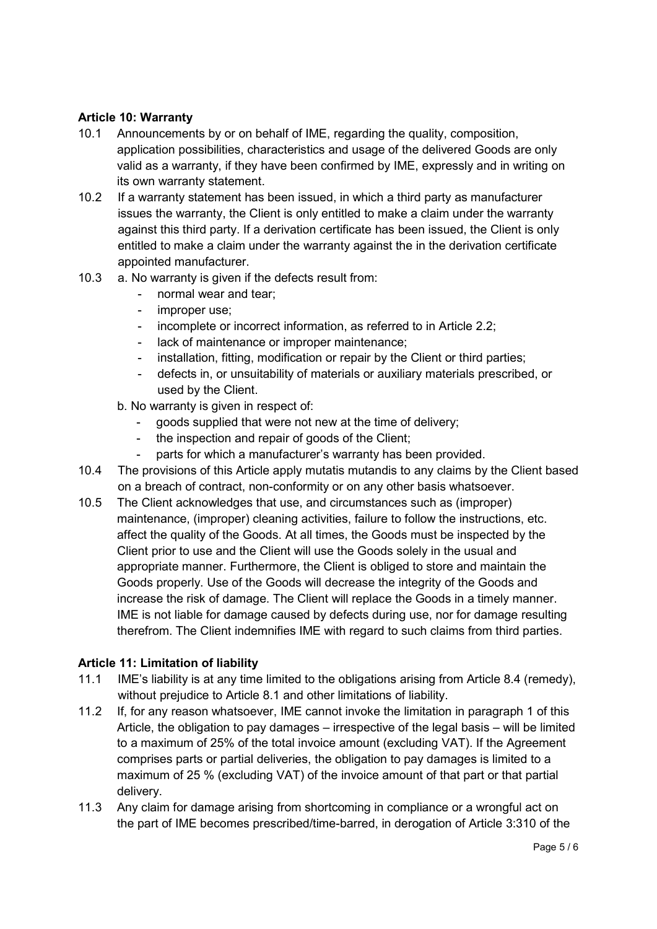### Article 10: Warranty

- 10.1 Announcements by or on behalf of IME, regarding the quality, composition, application possibilities, characteristics and usage of the delivered Goods are only valid as a warranty, if they have been confirmed by IME, expressly and in writing on its own warranty statement.
- 10.2 If a warranty statement has been issued, in which a third party as manufacturer issues the warranty, the Client is only entitled to make a claim under the warranty against this third party. If a derivation certificate has been issued, the Client is only entitled to make a claim under the warranty against the in the derivation certificate appointed manufacturer.
- 10.3 a. No warranty is given if the defects result from:
	- normal wear and tear;
	- improper use:
	- incomplete or incorrect information, as referred to in Article 2.2;
	- lack of maintenance or improper maintenance;
	- installation, fitting, modification or repair by the Client or third parties;
	- defects in, or unsuitability of materials or auxiliary materials prescribed, or used by the Client.
	- b. No warranty is given in respect of:
		- goods supplied that were not new at the time of delivery;
		- the inspection and repair of goods of the Client;
		- parts for which a manufacturer's warranty has been provided.
- 10.4 The provisions of this Article apply mutatis mutandis to any claims by the Client based on a breach of contract, non-conformity or on any other basis whatsoever.
- 10.5 The Client acknowledges that use, and circumstances such as (improper) maintenance, (improper) cleaning activities, failure to follow the instructions, etc. affect the quality of the Goods. At all times, the Goods must be inspected by the Client prior to use and the Client will use the Goods solely in the usual and appropriate manner. Furthermore, the Client is obliged to store and maintain the Goods properly. Use of the Goods will decrease the integrity of the Goods and increase the risk of damage. The Client will replace the Goods in a timely manner. IME is not liable for damage caused by defects during use, nor for damage resulting therefrom. The Client indemnifies IME with regard to such claims from third parties.

#### Article 11: Limitation of liability

- 11.1 IME's liability is at any time limited to the obligations arising from Article 8.4 (remedy), without prejudice to Article 8.1 and other limitations of liability.
- 11.2 If, for any reason whatsoever, IME cannot invoke the limitation in paragraph 1 of this Article, the obligation to pay damages – irrespective of the legal basis – will be limited to a maximum of 25% of the total invoice amount (excluding VAT). If the Agreement comprises parts or partial deliveries, the obligation to pay damages is limited to a maximum of 25 % (excluding VAT) of the invoice amount of that part or that partial delivery.
- 11.3 Any claim for damage arising from shortcoming in compliance or a wrongful act on the part of IME becomes prescribed/time-barred, in derogation of Article 3:310 of the